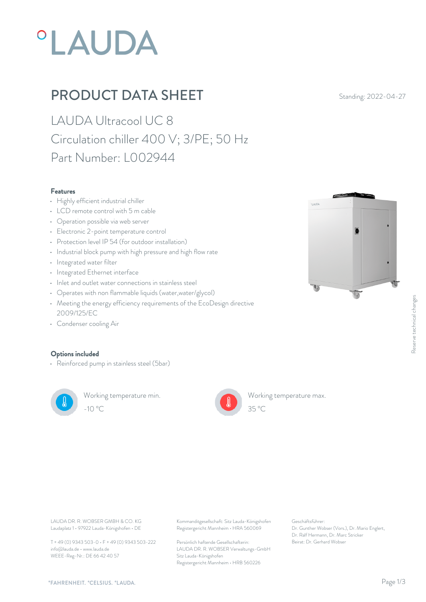# *OLAUDA*

## PRODUCT DATA SHEET Standing: 2022-04-27

LAUDA Ultracool UC 8 Circulation chiller 400 V; 3/PE; 50 Hz Part Number: L002944

#### Features

- Highly efficient industrial chiller
- LCD remote control with 5 m cable
- Operation possible via web server
- Electronic 2-point temperature control
- Protection level IP 54 (for outdoor installation)
- Industrial block pump with high pressure and high flow rate
- Integrated water filter
- Integrated Ethernet interface
- Inlet and outlet water connections in stainless steel
- Operates with non flammable liquids (water,water/glycol)
- Meeting the energy efficiency requirements of the EcoDesign directive 2009/125/EC
- Condenser cooling Air

#### Options included

• Reinforced pump in stainless steel (5bar)



Working temperature min. -10 °C 35 °C



Working temperature max.

**OLALIDA** 

Laudaplatz 1 • 97922 Lauda-Königshofen • DE T + 49 (0) 9343 503-0 • F + 49 (0) 9343 503-222

info@lauda.de • www.lauda.de WEEE-Reg-Nr.: DE 66 42 40 57

LAUDA DR. R. WOBSER GMBH & CO. KG Kommanditgesellschaft: Sitz Lauda-Königshofen Geschäftsführer: Registergericht Mannheim • HRA 560069

> Persönlich haftende Gesellschafterin: Beirat: Dr. Gerhard Wobse LAUDA DR. R. WOBSER Verwaltungs-GmbH Sitz Lauda-Königshofen Registergericht Mannheim • HRB 560226

Geschäftsführer: Dr. Gunther Wobser (Vors.), Dr. Mario Englert, Dr. Ralf Hermann, Dr. Marc Stricker Beschäftsführer:<br>Beischäftsführer:<br>Dr. Gunther Wobser (Vors.), Dr. Mario Englert,<br>Dr. Ralf Hermann, Dr. Marc Stricker<br>Beirat: Dr. Gerhard Wobser

 $35 \degree C$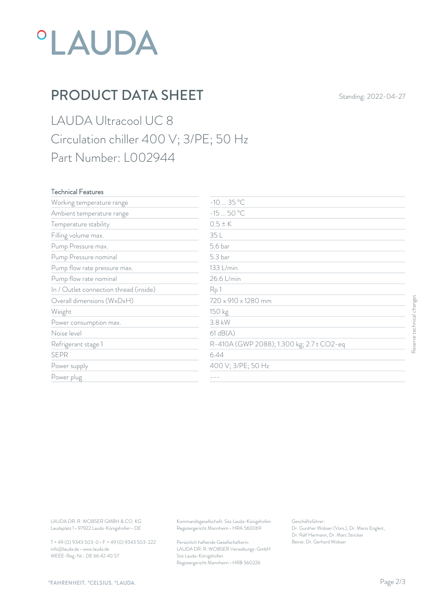

## PRODUCT DATA SHEET Standing: 2022-04-27

LAUDA Ultracool UC 8 Circulation chiller 400 V; 3/PE; 50 Hz Part Number: L002944

### Technical Features

| Working temperature range                                                                                                                                                  | $-1035 °C$                                |                                                                                                           |                           |
|----------------------------------------------------------------------------------------------------------------------------------------------------------------------------|-------------------------------------------|-----------------------------------------------------------------------------------------------------------|---------------------------|
| Ambient temperature range                                                                                                                                                  | $-1550 °C$                                |                                                                                                           |                           |
| Temperature stability                                                                                                                                                      | $0.5 \pm K$                               |                                                                                                           |                           |
| Filling volume max.                                                                                                                                                        | 35 L                                      |                                                                                                           |                           |
| Pump Pressure max.                                                                                                                                                         | 5.6 bar                                   |                                                                                                           |                           |
| Pump Pressure nominal                                                                                                                                                      | 5.3 bar                                   |                                                                                                           |                           |
| Pump flow rate pressure max.                                                                                                                                               | 133 L/min                                 |                                                                                                           |                           |
| Pump flow rate nominal                                                                                                                                                     | 26.6 L/min                                |                                                                                                           |                           |
| In / Outlet connection thread (inside)                                                                                                                                     | Rp1                                       |                                                                                                           |                           |
| Overall dimensions (WxDxH)                                                                                                                                                 | 720 x 910 x 1280 mm                       |                                                                                                           |                           |
| Weight                                                                                                                                                                     | 150 kg                                    |                                                                                                           |                           |
| Power consumption max.                                                                                                                                                     | 3.8 kW                                    |                                                                                                           | Reserve technical changes |
| Noise level                                                                                                                                                                | $61\,\text{dB(A)}$                        |                                                                                                           |                           |
| Refrigerant stage 1                                                                                                                                                        | R-410A (GWP 2088); 1.300 kg; 2.7 t CO2-eq |                                                                                                           |                           |
| <b>SEPR</b>                                                                                                                                                                | 6.44                                      |                                                                                                           |                           |
| Power supply                                                                                                                                                               | 400 V; 3/PE; 50 Hz                        |                                                                                                           |                           |
| Power plug                                                                                                                                                                 | $- - -$                                   |                                                                                                           |                           |
|                                                                                                                                                                            |                                           |                                                                                                           |                           |
| LAUDA DR. R. WOBSER GMBH & CO. KG<br>Kommanditgesellschaft: Sitz Lauda-Königshofen<br>Laudaplatz 1 · 97922 Lauda-Königshofen · DE<br>Registergericht Mannheim · HRA 560069 |                                           | Geschäftsführer:<br>Dr. Gunther Wobser (Vors.), Dr. Mario Englert,<br>Dr. Ralf Hermann, Dr. Marc Stricker |                           |
| T + 49 (0) 9343 503-0 · F + 49 (0) 9343 503-222                                                                                                                            | Persönlich haftende Gesellschafterin:     | Beirat: Dr. Gerhard Wobser                                                                                |                           |

T + 49 (0) 9343 503-0 • F + 49 (0) 9343 503-222 info@lauda.de • www.lauda.de WEEE-Reg-Nr.: DE 66 42 40 57

> Persönlich haftende Gesellschafterin: Beirat: Dr. Gerhard Wobser LAUDA DR. R. WOBSER Verwaltungs-GmbH Sitz Lauda-Königshofen Registergericht Mannheim • HRB 560226